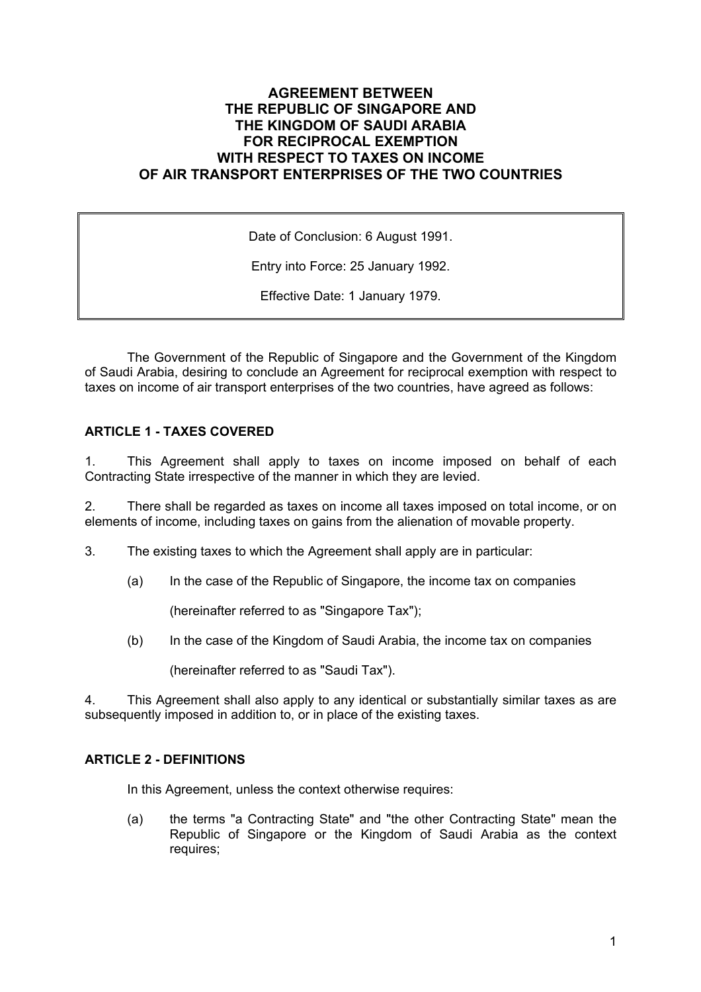# **AGREEMENT BETWEEN THE REPUBLIC OF SINGAPORE AND THE KINGDOM OF SAUDI ARABIA FOR RECIPROCAL EXEMPTION WITH RESPECT TO TAXES ON INCOME OF AIR TRANSPORT ENTERPRISES OF THE TWO COUNTRIES**

Date of Conclusion: 6 August 1991.

Entry into Force: 25 January 1992.

Effective Date: 1 January 1979.

The Government of the Republic of Singapore and the Government of the Kingdom of Saudi Arabia, desiring to conclude an Agreement for reciprocal exemption with respect to taxes on income of air transport enterprises of the two countries, have agreed as follows:

## **ARTICLE 1 - TAXES COVERED**

1. This Agreement shall apply to taxes on income imposed on behalf of each Contracting State irrespective of the manner in which they are levied.

2. There shall be regarded as taxes on income all taxes imposed on total income, or on elements of income, including taxes on gains from the alienation of movable property.

3. The existing taxes to which the Agreement shall apply are in particular:

(a) In the case of the Republic of Singapore, the income tax on companies

(hereinafter referred to as "Singapore Tax");

(b) In the case of the Kingdom of Saudi Arabia, the income tax on companies

(hereinafter referred to as "Saudi Tax").

4. This Agreement shall also apply to any identical or substantially similar taxes as are subsequently imposed in addition to, or in place of the existing taxes.

### **ARTICLE 2 - DEFINITIONS**

In this Agreement, unless the context otherwise requires:

(a) the terms "a Contracting State" and "the other Contracting State" mean the Republic of Singapore or the Kingdom of Saudi Arabia as the context requires;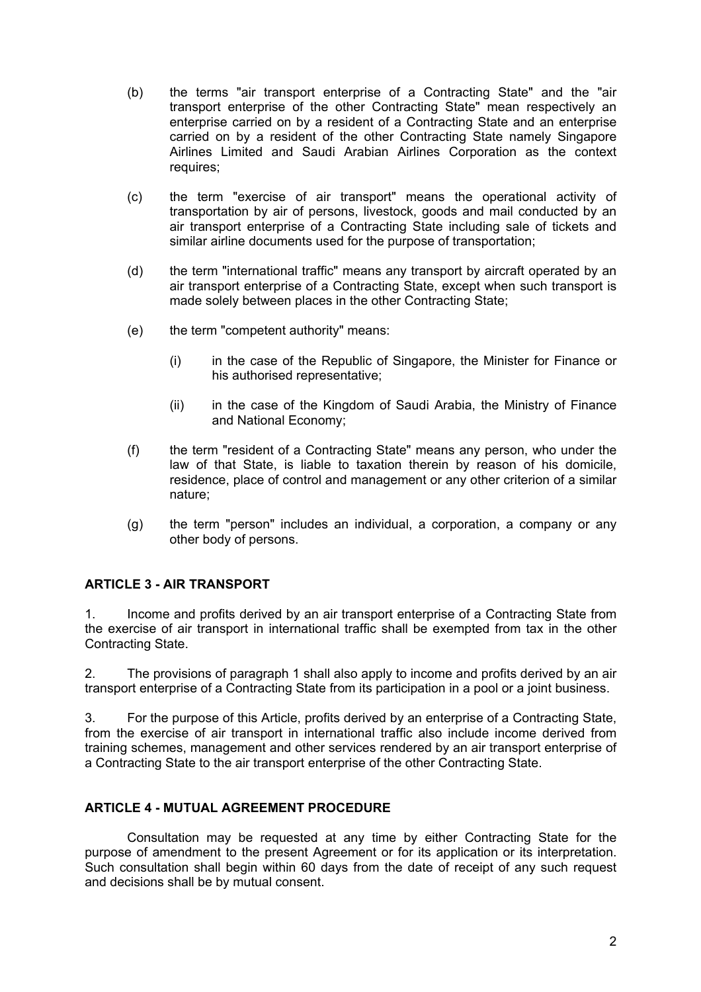- (b) the terms "air transport enterprise of a Contracting State" and the "air transport enterprise of the other Contracting State" mean respectively an enterprise carried on by a resident of a Contracting State and an enterprise carried on by a resident of the other Contracting State namely Singapore Airlines Limited and Saudi Arabian Airlines Corporation as the context requires;
- (c) the term "exercise of air transport" means the operational activity of transportation by air of persons, livestock, goods and mail conducted by an air transport enterprise of a Contracting State including sale of tickets and similar airline documents used for the purpose of transportation;
- (d) the term "international traffic" means any transport by aircraft operated by an air transport enterprise of a Contracting State, except when such transport is made solely between places in the other Contracting State;
- (e) the term "competent authority" means:
	- (i) in the case of the Republic of Singapore, the Minister for Finance or his authorised representative;
	- (ii) in the case of the Kingdom of Saudi Arabia, the Ministry of Finance and National Economy;
- (f) the term "resident of a Contracting State" means any person, who under the law of that State, is liable to taxation therein by reason of his domicile, residence, place of control and management or any other criterion of a similar nature;
- (g) the term "person" includes an individual, a corporation, a company or any other body of persons.

### **ARTICLE 3 - AIR TRANSPORT**

1. Income and profits derived by an air transport enterprise of a Contracting State from the exercise of air transport in international traffic shall be exempted from tax in the other Contracting State.

2. The provisions of paragraph 1 shall also apply to income and profits derived by an air transport enterprise of a Contracting State from its participation in a pool or a joint business.

3. For the purpose of this Article, profits derived by an enterprise of a Contracting State, from the exercise of air transport in international traffic also include income derived from training schemes, management and other services rendered by an air transport enterprise of a Contracting State to the air transport enterprise of the other Contracting State.

# **ARTICLE 4 - MUTUAL AGREEMENT PROCEDURE**

Consultation may be requested at any time by either Contracting State for the purpose of amendment to the present Agreement or for its application or its interpretation. Such consultation shall begin within 60 days from the date of receipt of any such request and decisions shall be by mutual consent.